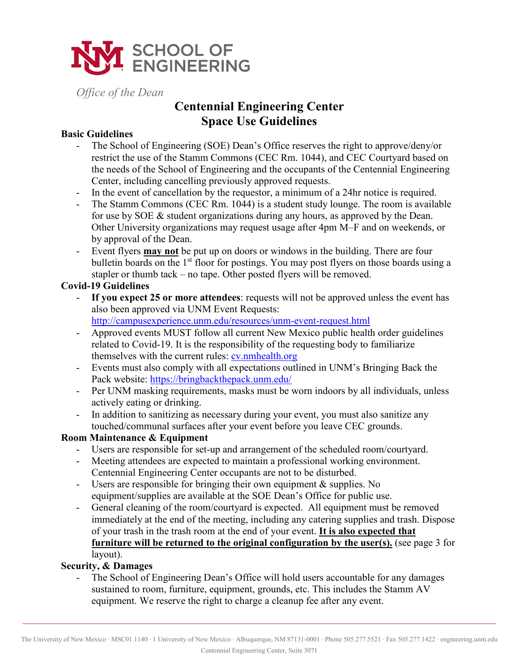

*Office of the Dean* 

## **Centennial Engineering Center Space Use Guidelines**

#### **Basic Guidelines**

- The School of Engineering (SOE) Dean's Office reserves the right to approve/deny/or restrict the use of the Stamm Commons (CEC Rm. 1044), and CEC Courtyard based on the needs of the School of Engineering and the occupants of the Centennial Engineering Center, including cancelling previously approved requests.
- In the event of cancellation by the requestor, a minimum of a 24hr notice is required.
- The Stamm Commons (CEC Rm. 1044) is a student study lounge. The room is available for use by SOE & student organizations during any hours, as approved by the Dean. Other University organizations may request usage after 4pm M–F and on weekends, or by approval of the Dean.
- Event flyers **may not** be put up on doors or windows in the building. There are four bulletin boards on the 1<sup>st</sup> floor for postings. You may post flyers on those boards using a stapler or thumb tack – no tape. Other posted flyers will be removed.

#### **Covid-19 Guidelines**

- **If you expect 25 or more attendees**: requests will not be approved unless the event has also been approved via UNM Event Requests: [http://campusexperience.unm.edu/resources/unm](http://campusexperience.unm.edu/resources/unm-event-request.html)-event-request.html
- Approved events MUST follow all current New Mexico public health order guidelines related to Covid-19. It is the responsibility of the requesting body to familiarize themselves with the current rules: [cv.nmhealth.org](https://cv.nmhealth.org/)
- Events must also comply with all expectations outlined in UNM's Bringing Back the Pack website:<https://bringbackthepack.unm.edu/>
- Per UNM masking requirements, masks must be worn indoors by all individuals, unless actively eating or drinking.
- In addition to sanitizing as necessary during your event, you must also sanitize any touched/communal surfaces after your event before you leave CEC grounds.

#### **Room Maintenance & Equipment**

- Users are responsible for set-up and arrangement of the scheduled room/courtyard.
- Meeting attendees are expected to maintain a professional working environment. Centennial Engineering Center occupants are not to be disturbed.
- Users are responsible for bringing their own equipment & supplies. No equipment/supplies are available at the SOE Dean's Office for public use.
- General cleaning of the room/courtyard is expected. All equipment must be removed immediately at the end of the meeting, including any catering supplies and trash. Dispose of your trash in the trash room at the end of your event. **It is also expected that furniture will be returned to the original configuration by the user(s).** (see page 3 for layout).

### **Security, & Damages**

The School of Engineering Dean's Office will hold users accountable for any damages sustained to room, furniture, equipment, grounds, etc. This includes the Stamm AV equipment. We reserve the right to charge a cleanup fee after any event.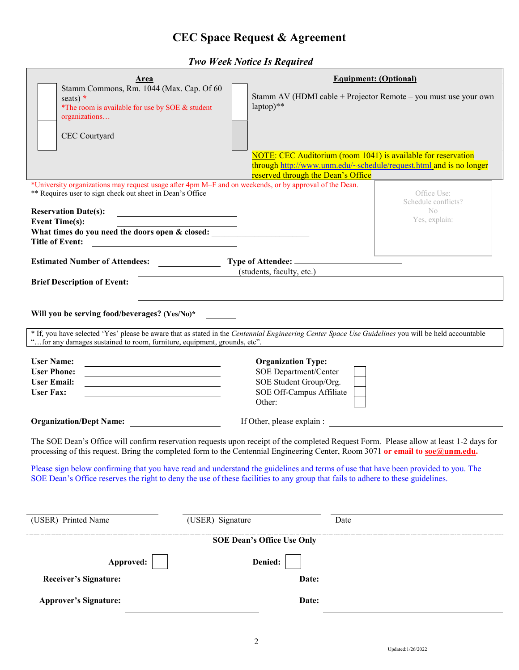# **CEC Space Request & Agreement**

 *Two Week Notice Is Required* 

| Area                                                                                                                                                                                                                                                                    | <b>Equipment: (Optional)</b>                                                                                                        |
|-------------------------------------------------------------------------------------------------------------------------------------------------------------------------------------------------------------------------------------------------------------------------|-------------------------------------------------------------------------------------------------------------------------------------|
| Stamm Commons, Rm. 1044 (Max. Cap. Of 60<br>seats) $*$<br>*The room is available for use by SOE & student<br>organizations                                                                                                                                              | Stamm AV (HDMI cable + Projector Remote – you must use your own<br>$laptop)**$                                                      |
| CEC Courtyard                                                                                                                                                                                                                                                           |                                                                                                                                     |
|                                                                                                                                                                                                                                                                         |                                                                                                                                     |
|                                                                                                                                                                                                                                                                         | NOTE: CEC Auditorium (room 1041) is available for reservation<br>through http://www.unm.edu/~schedule/request.html and is no longer |
|                                                                                                                                                                                                                                                                         | reserved through the Dean's Office                                                                                                  |
| *University organizations may request usage after 4pm M–F and on weekends, or by approval of the Dean.<br>** Requires user to sign check out sheet in Dean's Office                                                                                                     | Office Use:<br>Schedule conflicts?                                                                                                  |
| <b>Reservation Date(s):</b><br><u> 1989 - Johann Stoff, amerikansk politiker (</u>                                                                                                                                                                                      | $\rm No$<br>Yes, explain:                                                                                                           |
| <b>Event Time(s):</b><br>What times do you need the doors open & closed:<br><b>Title of Event:</b>                                                                                                                                                                      |                                                                                                                                     |
| <u> 1980 - Jan Samuel Barbara, poeta esperanto-</u>                                                                                                                                                                                                                     |                                                                                                                                     |
| Estimated Number of Attendees:<br>(students, faculty, etc.)                                                                                                                                                                                                             |                                                                                                                                     |
| <b>Brief Description of Event:</b>                                                                                                                                                                                                                                      |                                                                                                                                     |
|                                                                                                                                                                                                                                                                         |                                                                                                                                     |
| Will you be serving food/beverages? (Yes/No)*                                                                                                                                                                                                                           |                                                                                                                                     |
| * If, you have selected 'Yes' please be aware that as stated in the Centennial Engineering Center Space Use Guidelines you will be held accountable<br>"for any damages sustained to room, furniture, equipment, grounds, etc".                                         |                                                                                                                                     |
| <b>User Name:</b>                                                                                                                                                                                                                                                       | <b>Organization Type:</b>                                                                                                           |
| <b>User Phone:</b>                                                                                                                                                                                                                                                      | SOE Department/Center                                                                                                               |
| <b>User Email:</b><br><u> 1989 - Johann Stoff, deutscher Stoffen und der Stoffen und der Stoffen und der Stoffen und der Stoffen und der </u><br><b>User Fax:</b><br><u> 1989 - Johann Barbara, martxa alemaniar amerikan a</u>                                         | SOE Student Group/Org.<br>SOE Off-Campus Affiliate                                                                                  |
|                                                                                                                                                                                                                                                                         | Other:                                                                                                                              |
| <b>Organization/Dept Name:</b>                                                                                                                                                                                                                                          | If Other, please explain :                                                                                                          |
| The SOE Dean's Office will confirm reservation requests upon receipt of the completed Request Form. Please allow at least 1-2 days for<br>processing of this request. Bring the completed form to the Centennial Engineering Center, Room 3071 or email to soe@unm.edu. |                                                                                                                                     |
| Please sign below confirming that you have read and understand the guidelines and terms of use that have been provided to you. The<br>SOE Dean's Office reserves the right to deny the use of these facilities to any group that fails to adhere to these guidelines.   |                                                                                                                                     |
|                                                                                                                                                                                                                                                                         |                                                                                                                                     |
| (USER) Signature<br>(USER) Printed Name                                                                                                                                                                                                                                 | Date                                                                                                                                |
| <b>SOE Dean's Office Use Only</b>                                                                                                                                                                                                                                       |                                                                                                                                     |
| Approved:                                                                                                                                                                                                                                                               | Denied:                                                                                                                             |
| <b>Receiver's Signature:</b>                                                                                                                                                                                                                                            | Date:                                                                                                                               |
| <b>Approver's Signature:</b>                                                                                                                                                                                                                                            | Date:                                                                                                                               |
|                                                                                                                                                                                                                                                                         |                                                                                                                                     |